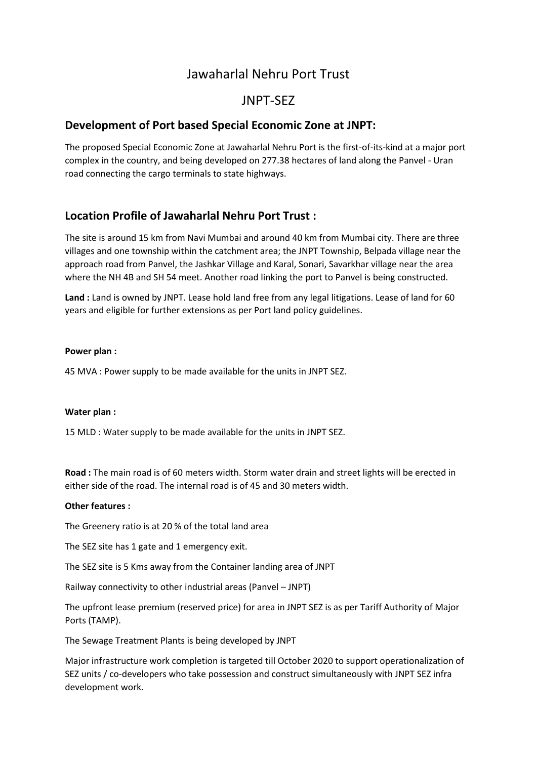# Jawaharlal Nehru Port Trust

# JNPT-SEZ

# **Development of Port based Special Economic Zone at JNPT:**

The proposed Special Economic Zone at Jawaharlal Nehru Port is the first-of-its-kind at a major port complex in the country, and being developed on 277.38 hectares of land along the Panvel - Uran road connecting the cargo terminals to state highways.

# **Location Profile of Jawaharlal Nehru Port Trust :**

The site is around 15 km from Navi Mumbai and around 40 km from Mumbai city. There are three villages and one township within the catchment area; the JNPT Township, Belpada village near the approach road from Panvel, the Jashkar Village and Karal, Sonari, Savarkhar village near the area where the NH 4B and SH 54 meet. Another road linking the port to Panvel is being constructed.

**Land :** Land is owned by JNPT. Lease hold land free from any legal litigations. Lease of land for 60 years and eligible for further extensions as per Port land policy guidelines.

#### **Power plan :**

45 MVA : Power supply to be made available for the units in JNPT SEZ.

#### **Water plan :**

15 MLD : Water supply to be made available for the units in JNPT SEZ.

**Road :** The main road is of 60 meters width. Storm water drain and street lights will be erected in either side of the road. The internal road is of 45 and 30 meters width.

#### **Other features :**

The Greenery ratio is at 20 % of the total land area

The SEZ site has 1 gate and 1 emergency exit.

The SEZ site is 5 Kms away from the Container landing area of JNPT

Railway connectivity to other industrial areas (Panvel – JNPT)

The upfront lease premium (reserved price) for area in JNPT SEZ is as per Tariff Authority of Major Ports (TAMP).

The Sewage Treatment Plants is being developed by JNPT

Major infrastructure work completion is targeted till October 2020 to support operationalization of SEZ units / co-developers who take possession and construct simultaneously with JNPT SEZ infra development work.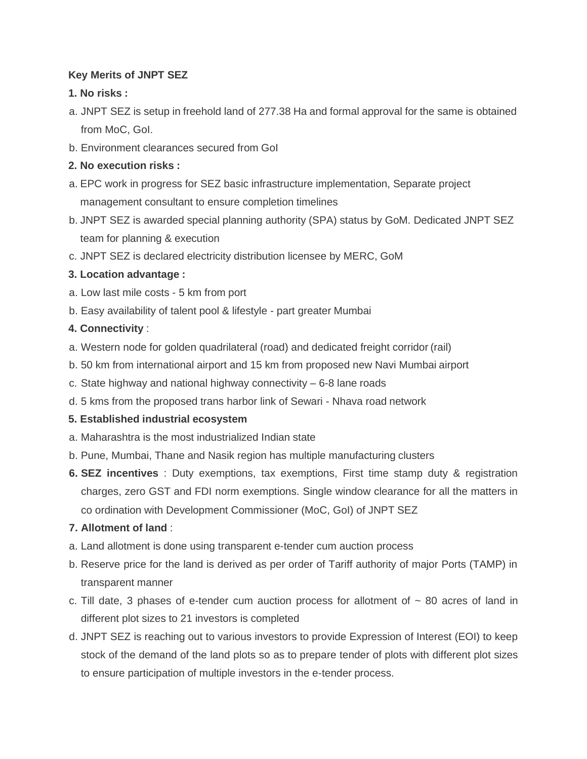### **Key Merits of JNPT SEZ**

## **1. No risks :**

- a. JNPT SEZ is setup in freehold land of 277.38 Ha and formal approval for the same is obtained from MoC, GoI.
- b. Environment clearances secured from GoI

## **2. No execution risks :**

- a. EPC work in progress for SEZ basic infrastructure implementation, Separate project management consultant to ensure completion timelines
- b. JNPT SEZ is awarded special planning authority (SPA) status by GoM. Dedicated JNPT SEZ team for planning & execution
- c. JNPT SEZ is declared electricity distribution licensee by MERC, GoM

# **3. Location advantage :**

- a. Low last mile costs 5 km from port
- b. Easy availability of talent pool & lifestyle part greater Mumbai

## **4. Connectivity** :

- a. Western node for golden quadrilateral (road) and dedicated freight corridor (rail)
- b. 50 km from international airport and 15 km from proposed new Navi Mumbai airport
- c. State highway and national highway connectivity 6-8 lane roads
- d. 5 kms from the proposed trans harbor link of Sewari Nhava road network

### **5. Established industrial ecosystem**

- a. Maharashtra is the most industrialized Indian state
- b. Pune, Mumbai, Thane and Nasik region has multiple manufacturing clusters
- **6. SEZ incentives** : Duty exemptions, tax exemptions, First time stamp duty & registration charges, zero GST and FDI norm exemptions. Single window clearance for all the matters in co ordination with Development Commissioner (MoC, GoI) of JNPT SEZ

# **7. Allotment of land** :

- a. Land allotment is done using transparent e-tender cum auction process
- b. Reserve price for the land is derived as per order of Tariff authority of major Ports (TAMP) in transparent manner
- c. Till date, 3 phases of e-tender cum auction process for allotment of  $\sim$  80 acres of land in different plot sizes to 21 investors is completed
- d. JNPT SEZ is reaching out to various investors to provide Expression of Interest (EOI) to keep stock of the demand of the land plots so as to prepare tender of plots with different plot sizes to ensure participation of multiple investors in the e-tender process.